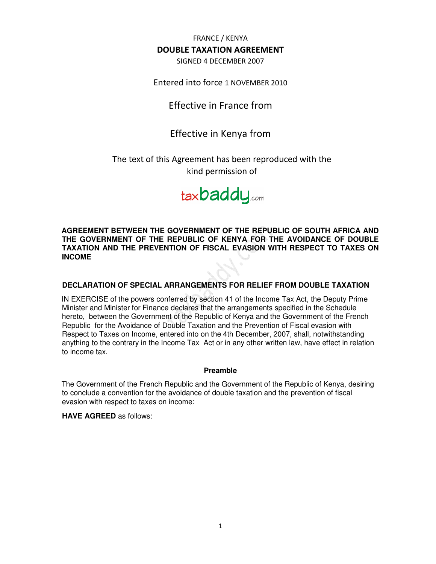# FRANCE / KENYA **DOUBLE TAXATION AGREEMENT**

SIGNED 4 DECEMBER 2007

Entered into force 1 NOVEMBER 2010

Effective in France from

Effective in Kenya from

The text of this Agreement has been reproduced with the kind permission of

I.

**AGREEMENT BETWEEN THE GOVERNMENT OF THE REPUBLIC OF SOUTH AFRICA AND THE GOVERNMENT OF THE REPUBLIC OF KENYA FOR THE AVOIDANCE OF DOUBLE TAXATION AND THE PREVENTION OF FISCAL EVASION WITH RESPECT TO TAXES ON INCOME** 

#### **DECLARATION OF SPECIAL ARRANGEMENTS FOR RELIEF FROM DOUBLE TAXATION**

IN EXERCISE of the powers conferred by section 41 of the Income Tax Act, the Deputy Prime Minister and Minister for Finance declares that the arrangements specified in the Schedule hereto, between the Government of the Republic of Kenya and the Government of the French Republic for the Avoidance of Double Taxation and the Prevention of Fiscal evasion with Respect to Taxes on Income, entered into on the 4th December, 2007, shall, notwithstanding anything to the contrary in the Income Tax Act or in any other written law, have effect in relation to income tax.

#### **Preamble**

The Government of the French Republic and the Government of the Republic of Kenya, desiring to conclude a convention for the avoidance of double taxation and the prevention of fiscal evasion with respect to taxes on income:

**HAVE AGREED** as follows: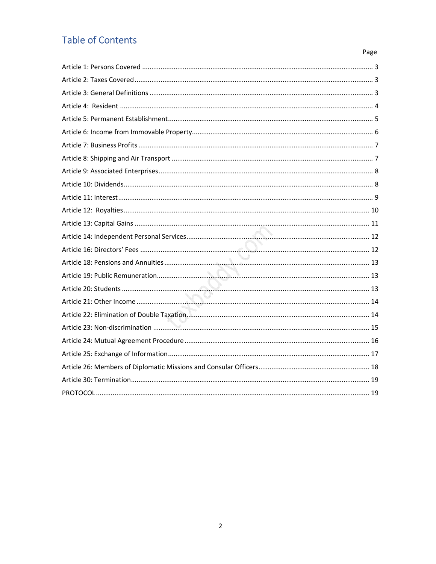# **Table of Contents**

| ۰.<br><br>×<br>v<br>v<br>٠<br>$\sim$ |  |
|--------------------------------------|--|
|--------------------------------------|--|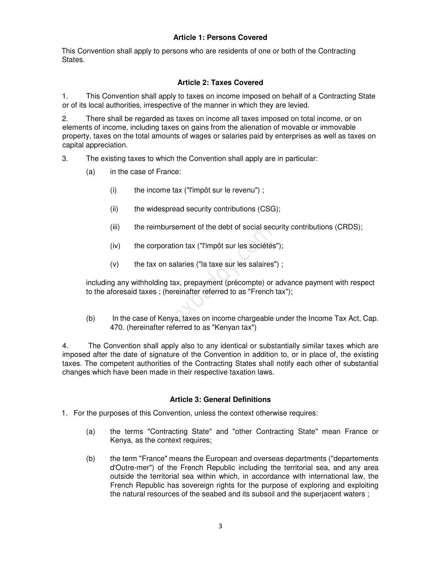### **Article 1: Persons Covered**

This Convention shall apply to persons who are residents of one or both of the Contracting States.

#### **Article 2: Taxes Covered**

1. This Convention shall apply to taxes on income imposed on behalf of a Contracting State or of its local authorities, irrespective of the manner in which they are levied.

2. There shall be regarded as taxes on income all taxes imposed on total income, or on elements of income, including taxes on gains from the alienation of movable or immovable property, taxes on the total amounts of wages or salaries paid by enterprises as well as taxes on capital appreciation.

3. The existing taxes to which the Convention shall apply are in particular:

- (a) in the case of France:
	- (i) the income tax ("l'impôt sur le revenu") ;
	- (ii) the widespread security contributions (CSG);
	- (iii) the reimbursement of the debt of social security contributions (CRDS);
	- (iv) the corporation tax ("l'impôt sur les sociétés");
	- (v) the tax on salaries ("la taxe sur les salaires") ;

including any withholding tax, prepayment (précompte) or advance payment with respect to the aforesaid taxes ; (hereinafter referred to as "French tax");

(b) In the case of Kenya, taxes on income chargeable under the Income Tax Act, Cap. 470. (hereinafter referred to as "Kenyan tax")

4. The Convention shall apply also to any identical or substantially similar taxes which are imposed after the date of signature of the Convention in addition to, or in place of, the existing taxes. The competent authorities of the Contracting States shall notify each other of substantial changes which have been made in their respective taxation laws.

#### **Article 3: General Definitions**

- 1. For the purposes of this Convention, unless the context otherwise requires:
	- (a) the terms "Contracting State" and "other Contracting State" mean France or Kenya, as the context requires;
	- (b) the term "France" means the European and overseas departments ("departements d'Outre-mer") of the French Republic including the territorial sea, and any area outside the territorial sea within which, in accordance with international law, the French Republic has sovereign rights for the purpose of exploring and exploiting the natural resources of the seabed and its subsoil and the superjacent waters ;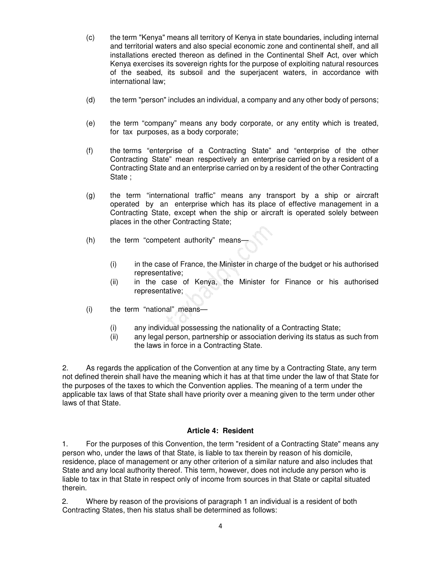- (c) the term "Kenya" means all territory of Kenya in state boundaries, including internal and territorial waters and also special economic zone and continental shelf, and all installations erected thereon as defined in the Continental Shelf Act, over which Kenya exercises its sovereign rights for the purpose of exploiting natural resources of the seabed, its subsoil and the superjacent waters, in accordance with international law;
- (d) the term "person" includes an individual, a company and any other body of persons;
- (e) the term "company" means any body corporate, or any entity which is treated, for tax purposes, as a body corporate;
- (f) the terms "enterprise of a Contracting State" and "enterprise of the other Contracting State" mean respectively an enterprise carried on by a resident of a Contracting State and an enterprise carried on by a resident of the other Contracting State ;
- (g) the term "international traffic" means any transport by a ship or aircraft operated by an enterprise which has its place of effective management in a Contracting State, except when the ship or aircraft is operated solely between places in the other Contracting State;
- (h) the term "competent authority" means-
	- (i) in the case of France, the Minister in charge of the budget or his authorised representative;
	- (ii) in the case of Kenya, the Minister for Finance or his authorised representative;
- (i) the term "national" means—
	- (i) any individual possessing the nationality of a Contracting State;
	- (ii) any legal person, partnership or association deriving its status as such from the laws in force in a Contracting State.

2. As regards the application of the Convention at any time by a Contracting State, any term not defined therein shall have the meaning which it has at that time under the law of that State for the purposes of the taxes to which the Convention applies. The meaning of a term under the applicable tax laws of that State shall have priority over a meaning given to the term under other laws of that State.

#### **Article 4: Resident**

1. For the purposes of this Convention, the term "resident of a Contracting State" means any person who, under the laws of that State, is liable to tax therein by reason of his domicile, residence, place of management or any other criterion of a similar nature and also includes that State and any local authority thereof. This term, however, does not include any person who is liable to tax in that State in respect only of income from sources in that State or capital situated therein.

2. Where by reason of the provisions of paragraph 1 an individual is a resident of both Contracting States, then his status shall be determined as follows: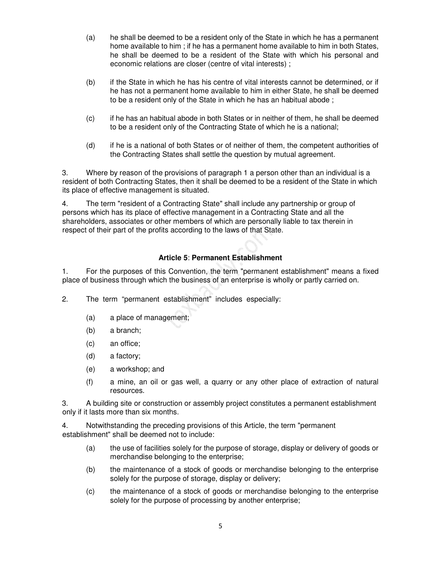- (a) he shall be deemed to be a resident only of the State in which he has a permanent home available to him ; if he has a permanent home available to him in both States, he shall be deemed to be a resident of the State with which his personal and economic relations are closer (centre of vital interests) ;
- (b) if the State in which he has his centre of vital interests cannot be determined, or if he has not a permanent home available to him in either State, he shall be deemed to be a resident only of the State in which he has an habitual abode ;
- (c) if he has an habitual abode in both States or in neither of them, he shall be deemed to be a resident only of the Contracting State of which he is a national;
- (d) if he is a national of both States or of neither of them, the competent authorities of the Contracting States shall settle the question by mutual agreement.

3. Where by reason of the provisions of paragraph 1 a person other than an individual is a resident of both Contracting States, then it shall be deemed to be a resident of the State in which its place of effective management is situated.

4. The term "resident of a Contracting State" shall include any partnership or group of persons which has its place of effective management in a Contracting State and all the shareholders, associates or other members of which are personally liable to tax therein in respect of their part of the profits according to the laws of that State.

### **Article 5**: **Permanent Establishment**

1. For the purposes of this Convention, the term "permanent establishment" means a fixed place of business through which the business of an enterprise is wholly or partly carried on.

- 2. The term "permanent establishment" includes especially:
	- (a) a place of management;
	- (b) a branch;
	- (c) an office;
	- (d) a factory;
	- (e) a workshop; and
	- (f) a mine, an oil or gas well, a quarry or any other place of extraction of natural resources.

3. A building site or construction or assembly project constitutes a permanent establishment only if it lasts more than six months.

4. Notwithstanding the preceding provisions of this Article, the term "permanent establishment" shall be deemed not to include:

- (a) the use of facilities solely for the purpose of storage, display or delivery of goods or merchandise belonging to the enterprise;
- (b) the maintenance of a stock of goods or merchandise belonging to the enterprise solely for the purpose of storage, display or delivery;
- (c) the maintenance of a stock of goods or merchandise belonging to the enterprise solely for the purpose of processing by another enterprise;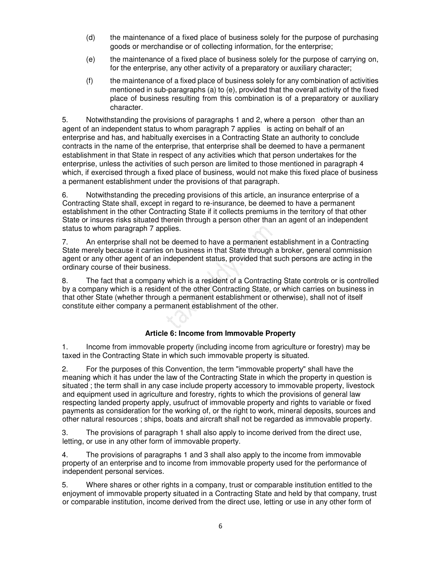- (d) the maintenance of a fixed place of business solely for the purpose of purchasing goods or merchandise or of collecting information, for the enterprise;
- (e) the maintenance of a fixed place of business solely for the purpose of carrying on, for the enterprise, any other activity of a preparatory or auxiliary character;
- (f) the maintenance of a fixed place of business solely for any combination of activities mentioned in sub-paragraphs (a) to (e), provided that the overall activity of the fixed place of business resulting from this combination is of a preparatory or auxiliary character.

5. Notwithstanding the provisions of paragraphs 1 and 2, where a person other than an agent of an independent status to whom paragraph 7 applies is acting on behalf of an enterprise and has, and habitually exercises in a Contracting State an authority to conclude contracts in the name of the enterprise, that enterprise shall be deemed to have a permanent establishment in that State in respect of any activities which that person undertakes for the enterprise, unless the activities of such person are limited to those mentioned in paragraph 4 which, if exercised through a fixed place of business, would not make this fixed place of business a permanent establishment under the provisions of that paragraph.

6. Notwithstanding the preceding provisions of this article, an insurance enterprise of a Contracting State shall, except in regard to re-insurance, be deemed to have a permanent establishment in the other Contracting State if it collects premiums in the territory of that other State or insures risks situated therein through a person other than an agent of an independent status to whom paragraph 7 applies.

7. An enterprise shall not be deemed to have a permanent establishment in a Contracting State merely because it carries on business in that State through a broker, general commission agent or any other agent of an independent status, provided that such persons are acting in the ordinary course of their business.

8. The fact that a company which is a resident of a Contracting State controls or is controlled by a company which is a resident of the other Contracting State, or which carries on business in that other State (whether through a permanent establishment or otherwise), shall not of itself constitute either company a permanent establishment of the other.

## **Article 6: Income from Immovable Property**

1. Income from immovable property (including income from agriculture or forestry) may be taxed in the Contracting State in which such immovable property is situated.

2. For the purposes of this Convention, the term "immovable property" shall have the meaning which it has under the law of the Contracting State in which the property in question is situated ; the term shall in any case include property accessory to immovable property, livestock and equipment used in agriculture and forestry, rights to which the provisions of general law respecting landed property apply, usufruct of immovable property and rights to variable or fixed payments as consideration for the working of, or the right to work, mineral deposits, sources and other natural resources ; ships, boats and aircraft shall not be regarded as immovable property.

3. The provisions of paragraph 1 shall also apply to income derived from the direct use, letting, or use in any other form of immovable property.

4. The provisions of paragraphs 1 and 3 shall also apply to the income from immovable property of an enterprise and to income from immovable property used for the performance of independent personal services.

5. Where shares or other rights in a company, trust or comparable institution entitled to the enjoyment of immovable property situated in a Contracting State and held by that company, trust or comparable institution, income derived from the direct use, letting or use in any other form of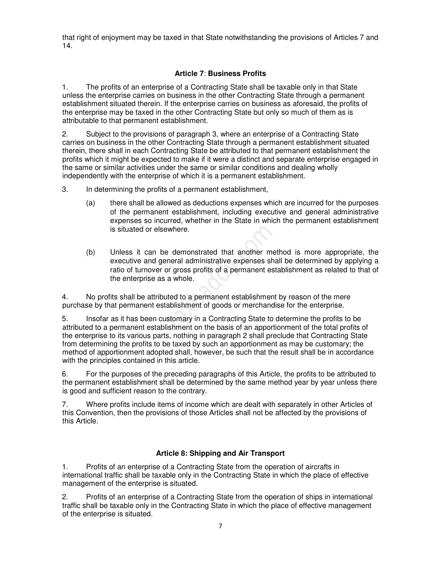that right of enjoyment may be taxed in that State notwithstanding the provisions of Articles 7 and 14.

### **Article 7**: **Business Profits**

1. The profits of an enterprise of a Contracting State shall be taxable only in that State unless the enterprise carries on business in the other Contracting State through a permanent establishment situated therein. If the enterprise carries on business as aforesaid, the profits of the enterprise may be taxed in the other Contracting State but only so much of them as is attributable to that permanent establishment.

2. Subject to the provisions of paragraph 3, where an enterprise of a Contracting State carries on business in the other Contracting State through a permanent establishment situated therein, there shall in each Contracting State be attributed to that permanent establishment the profits which it might be expected to make if it were a distinct and separate enterprise engaged in the same or similar activities under the same or similar conditions and dealing wholly independently with the enterprise of which it is a permanent establishment.

- 3. In determining the profits of a permanent establishment,
	- (a) there shall be allowed as deductions expenses which are incurred for the purposes of the permanent establishment, including executive and general administrative expenses so incurred, whether in the State in which the permanent establishment is situated or elsewhere.
	- (b) Unless it can be demonstrated that another method is more appropriate, the executive and general administrative expenses shall be determined by applying a ratio of turnover or gross profits of a permanent establishment as related to that of the enterprise as a whole.

4. No profits shall be attributed to a permanent establishment by reason of the mere purchase by that permanent establishment of goods or merchandise for the enterprise.

5. Insofar as it has been customary in a Contracting State to determine the profits to be attributed to a permanent establishment on the basis of an apportionment of the total profits of the enterprise to its various parts, nothing in paragraph 2 shall preclude that Contracting State from determining the profits to be taxed by such an apportionment as may be customary; the method of apportionment adopted shall, however, be such that the result shall be in accordance with the principles contained in this article.

6. For the purposes of the preceding paragraphs of this Article, the profits to be attributed to the permanent establishment shall be determined by the same method year by year unless there is good and sufficient reason to the contrary.

7. Where profits include items of income which are dealt with separately in other Articles of this Convention, then the provisions of those Articles shall not be affected by the provisions of this Article.

#### **Article 8: Shipping and Air Transport**

1. Profits of an enterprise of a Contracting State from the operation of aircrafts in international traffic shall be taxable only in the Contracting State in which the place of effective management of the enterprise is situated.

2. Profits of an enterprise of a Contracting State from the operation of ships in international traffic shall be taxable only in the Contracting State in which the place of effective management of the enterprise is situated.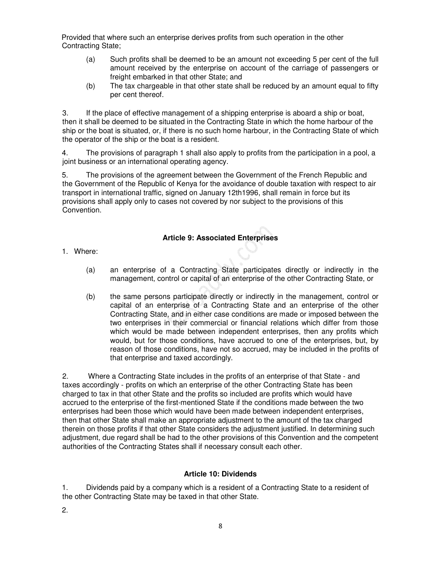Provided that where such an enterprise derives profits from such operation in the other Contracting State;

- (a) Such profits shall be deemed to be an amount not exceeding 5 per cent of the full amount received by the enterprise on account of the carriage of passengers or freight embarked in that other State; and
- (b) The tax chargeable in that other state shall be reduced by an amount equal to fifty per cent thereof.

3. If the place of effective management of a shipping enterprise is aboard a ship or boat, then it shall be deemed to be situated in the Contracting State in which the home harbour of the ship or the boat is situated, or, if there is no such home harbour, in the Contracting State of which the operator of the ship or the boat is a resident.

4. The provisions of paragraph 1 shall also apply to profits from the participation in a pool, a joint business or an international operating agency.

5. The provisions of the agreement between the Government of the French Republic and the Government of the Republic of Kenya for the avoidance of double taxation with respect to air transport in international traffic, signed on January 12th1996, shall remain in force but its provisions shall apply only to cases not covered by nor subject to the provisions of this Convention.

## **Article 9: Associated Enterprises**

1. Where:

- (a) an enterprise of a Contracting State participates directly or indirectly in the management, control or capital of an enterprise of the other Contracting State, or
- (b) the same persons participate directly or indirectly in the management, control or capital of an enterprise of a Contracting State and an enterprise of the other Contracting State, and in either case conditions are made or imposed between the two enterprises in their commercial or financial relations which differ from those which would be made between independent enterprises, then any profits which would, but for those conditions, have accrued to one of the enterprises, but, by reason of those conditions, have not so accrued, may be included in the profits of that enterprise and taxed accordingly.

2. Where a Contracting State includes in the profits of an enterprise of that State - and taxes accordingly - profits on which an enterprise of the other Contracting State has been charged to tax in that other State and the profits so included are profits which would have accrued to the enterprise of the first-mentioned State if the conditions made between the two enterprises had been those which would have been made between independent enterprises, then that other State shall make an appropriate adjustment to the amount of the tax charged therein on those profits if that other State considers the adjustment justified. In determining such adjustment, due regard shall be had to the other provisions of this Convention and the competent authorities of the Contracting States shall if necessary consult each other.

## **Article 10: Dividends**

1. Dividends paid by a company which is a resident of a Contracting State to a resident of the other Contracting State may be taxed in that other State.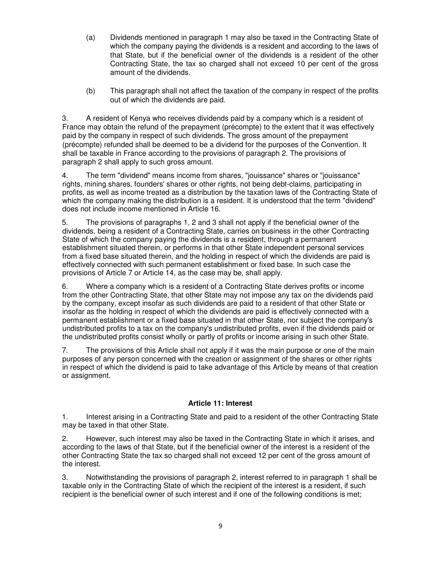- (a) Dividends mentioned in paragraph 1 may also be taxed in the Contracting State of which the company paying the dividends is a resident and according to the laws of that State, but if the beneficial owner of the dividends is a resident of the other Contracting State, the tax so charged shall not exceed 10 per cent of the gross amount of the dividends.
- (b) This paragraph shall not affect the taxation of the company in respect of the profits out of which the dividends are paid.

3. A resident of Kenya who receives dividends paid by a company which is a resident of France may obtain the refund of the prepayment (précompte) to the extent that it was effectively paid by the company in respect of such dividends. The gross amount of the prepayment (précompte) refunded shall be deemed to be a dividend for the purposes of the Convention. It shall be taxable in France according to the provisions of paragraph 2. The provisions of paragraph 2 shall apply to such gross amount.

4. The term "dividend" means income from shares, "jouissance" shares or "jouissance" rights, mining shares, founders' shares or other rights, not being debt-claims, participating in profits, as well as income treated as a distribution by the taxation laws of the Contracting State of which the company making the distribution is a resident. It is understood that the term "dividend" does not include income mentioned in Article 16.

5. The provisions of paragraphs 1, 2 and 3 shall not apply if the beneficial owner of the dividends, being a resident of a Contracting State, carries on business in the other Contracting State of which the company paying the dividends is a resident, through a permanent establishment situated therein, or performs in that other State independent personal services from a fixed base situated therein, and the holding in respect of which the dividends are paid is effectively connected with such permanent establishment or fixed base. In such case the provisions of Article 7 or Article 14, as the case may be, shall apply.

6. Where a company which is a resident of a Contracting State derives profits or income from the other Contracting State, that other State may not impose any tax on the dividends paid by the company, except insofar as such dividends are paid to a resident of that other State or insofar as the holding in respect of which the dividends are paid is effectively connected with a permanent establishment or a fixed base situated in that other State, nor subject the company's undistributed profits to a tax on the company's undistributed profits, even if the dividends paid or the undistributed profits consist wholly or partly of profits or income arising in such other State.

7. The provisions of this Article shall not apply if it was the main purpose or one of the main purposes of any person concerned with the creation or assignment of the shares or other rights in respect of which the dividend is paid to take advantage of this Article by means of that creation or assignment.

## **Article 11: Interest**

1. Interest arising in a Contracting State and paid to a resident of the other Contracting State may be taxed in that other State.

2. However, such interest may also be taxed in the Contracting State in which it arises, and according to the laws of that State, but if the beneficial owner of the interest is a resident of the other Contracting State the tax so charged shall not exceed 12 per cent of the gross amount of the interest.

3. Notwithstanding the provisions of paragraph 2, interest referred to in paragraph 1 shall be taxable only in the Contracting State of which the recipient of the interest is a resident, if such recipient is the beneficial owner of such interest and if one of the following conditions is met;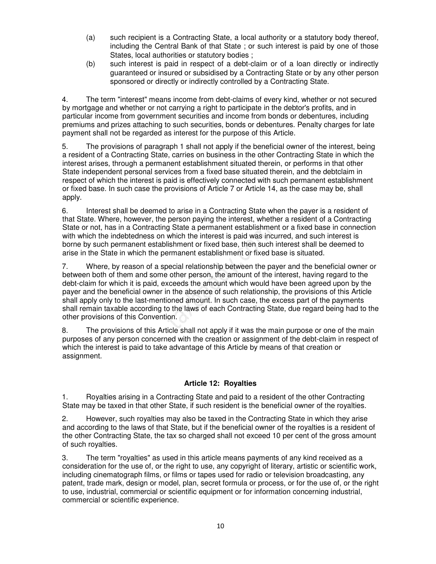- (a) such recipient is a Contracting State, a local authority or a statutory body thereof, including the Central Bank of that State ; or such interest is paid by one of those States, local authorities or statutory bodies ;
- (b) such interest is paid in respect of a debt-claim or of a loan directly or indirectly guaranteed or insured or subsidised by a Contracting State or by any other person sponsored or directly or indirectly controlled by a Contracting State.

4. The term "interest" means income from debt-claims of every kind, whether or not secured by mortgage and whether or not carrying a right to participate in the debtor's profits, and in particular income from government securities and income from bonds or debentures, including premiums and prizes attaching to such securities, bonds or debentures. Penalty charges for late payment shall not be regarded as interest for the purpose of this Article.

5. The provisions of paragraph 1 shall not apply if the beneficial owner of the interest, being a resident of a Contracting State, carries on business in the other Contracting State in which the interest arises, through a permanent establishment situated therein, or performs in that other State independent personal services from a fixed base situated therein, and the debtclaim in respect of which the interest is paid is effectively connected with such permanent establishment or fixed base. In such case the provisions of Article 7 or Article 14, as the case may be, shall apply.

6. Interest shall be deemed to arise in a Contracting State when the payer is a resident of that State. Where, however, the person paying the interest, whether a resident of a Contracting State or not, has in a Contracting State a permanent establishment or a fixed base in connection with which the indebtedness on which the interest is paid was incurred, and such interest is borne by such permanent establishment or fixed base, then such interest shall be deemed to arise in the State in which the permanent establishment or fixed base is situated.

7. Where, by reason of a special relationship between the payer and the beneficial owner or between both of them and some other person, the amount of the interest, having regard to the debt-claim for which it is paid, exceeds the amount which would have been agreed upon by the payer and the beneficial owner in the absence of such relationship, the provisions of this Article shall apply only to the last-mentioned amount. In such case, the excess part of the payments shall remain taxable according to the laws of each Contracting State, due regard being had to the other provisions of this Convention.

8. The provisions of this Article shall not apply if it was the main purpose or one of the main purposes of any person concerned with the creation or assignment of the debt-claim in respect of which the interest is paid to take advantage of this Article by means of that creation or assignment.

## **Article 12: Royalties**

1. Royalties arising in a Contracting State and paid to a resident of the other Contracting State may be taxed in that other State, if such resident is the beneficial owner of the royalties.

2. However, such royalties may also be taxed in the Contracting State in which they arise and according to the laws of that State, but if the beneficial owner of the royalties is a resident of the other Contracting State, the tax so charged shall not exceed 10 per cent of the gross amount of such royalties.

3. The term "royalties" as used in this article means payments of any kind received as a consideration for the use of, or the right to use, any copyright of literary, artistic or scientific work, including cinematograph films, or films or tapes used for radio or television broadcasting, any patent, trade mark, design or model, plan, secret formula or process, or for the use of, or the right to use, industrial, commercial or scientific equipment or for information concerning industrial, commercial or scientific experience.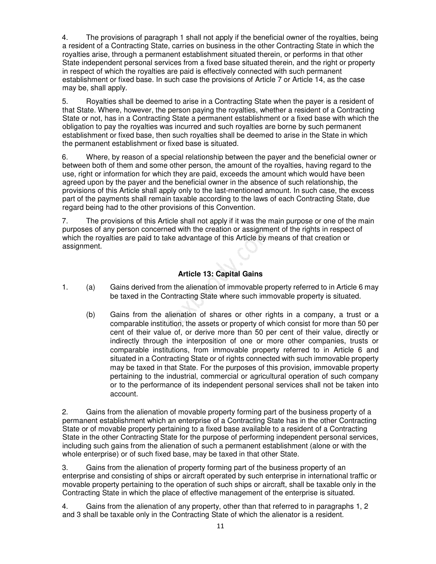4. The provisions of paragraph 1 shall not apply if the beneficial owner of the royalties, being a resident of a Contracting State, carries on business in the other Contracting State in which the royalties arise, through a permanent establishment situated therein, or performs in that other State independent personal services from a fixed base situated therein, and the right or property in respect of which the royalties are paid is effectively connected with such permanent establishment or fixed base. In such case the provisions of Article 7 or Article 14, as the case may be, shall apply.

5. Royalties shall be deemed to arise in a Contracting State when the payer is a resident of that State. Where, however, the person paying the royalties, whether a resident of a Contracting State or not, has in a Contracting State a permanent establishment or a fixed base with which the obligation to pay the royalties was incurred and such royalties are borne by such permanent establishment or fixed base, then such royalties shall be deemed to arise in the State in which the permanent establishment or fixed base is situated.

6. Where, by reason of a special relationship between the payer and the beneficial owner or between both of them and some other person, the amount of the royalties, having regard to the use, right or information for which they are paid, exceeds the amount which would have been agreed upon by the payer and the beneficial owner in the absence of such relationship, the provisions of this Article shall apply only to the last-mentioned amount. In such case, the excess part of the payments shall remain taxable according to the laws of each Contracting State, due regard being had to the other provisions of this Convention.

7. The provisions of this Article shall not apply if it was the main purpose or one of the main purposes of any person concerned with the creation or assignment of the rights in respect of which the royalties are paid to take advantage of this Article by means of that creation or assignment.

## **Article 13: Capital Gains**

- 1. (a) Gains derived from the alienation of immovable property referred to in Article 6 may be taxed in the Contracting State where such immovable property is situated.
	- (b) Gains from the alienation of shares or other rights in a company, a trust or a comparable institution, the assets or property of which consist for more than 50 per cent of their value of, or derive more than 50 per cent of their value, directly or indirectly through the interposition of one or more other companies, trusts or comparable institutions, from immovable property referred to in Article 6 and situated in a Contracting State or of rights connected with such immovable property may be taxed in that State. For the purposes of this provision, immovable property pertaining to the industrial, commercial or agricultural operation of such company or to the performance of its independent personal services shall not be taken into account.

2. Gains from the alienation of movable property forming part of the business property of a permanent establishment which an enterprise of a Contracting State has in the other Contracting State or of movable property pertaining to a fixed base available to a resident of a Contracting State in the other Contracting State for the purpose of performing independent personal services, including such gains from the alienation of such a permanent establishment (alone or with the whole enterprise) or of such fixed base, may be taxed in that other State.

3. Gains from the alienation of property forming part of the business property of an enterprise and consisting of ships or aircraft operated by such enterprise in international traffic or movable property pertaining to the operation of such ships or aircraft, shall be taxable only in the Contracting State in which the place of effective management of the enterprise is situated.

4. Gains from the alienation of any property, other than that referred to in paragraphs 1, 2 and 3 shall be taxable only in the Contracting State of which the alienator is a resident.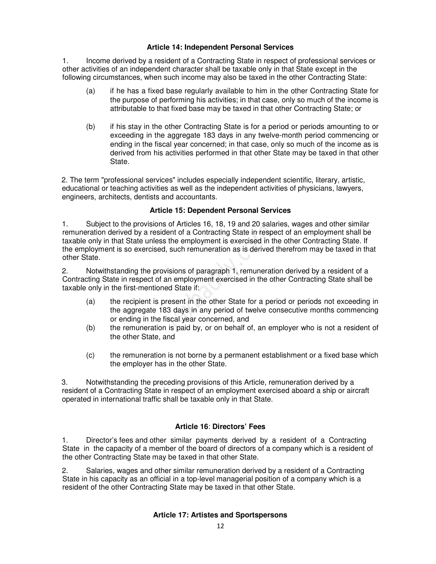#### **Article 14: Independent Personal Services**

1. Income derived by a resident of a Contracting State in respect of professional services or other activities of an independent character shall be taxable only in that State except in the following circumstances, when such income may also be taxed in the other Contracting State:

- (a) if he has a fixed base regularly available to him in the other Contracting State for the purpose of performing his activities; in that case, only so much of the income is attributable to that fixed base may be taxed in that other Contracting State; or
- (b) if his stay in the other Contracting State is for a period or periods amounting to or exceeding in the aggregate 183 days in any twelve-month period commencing or ending in the fiscal year concerned; in that case, only so much of the income as is derived from his activities performed in that other State may be taxed in that other State.

2. The term "professional services" includes especially independent scientific, literary, artistic, educational or teaching activities as well as the independent activities of physicians, lawyers, engineers, architects, dentists and accountants.

### **Article 15: Dependent Personal Services**

1. Subject to the provisions of Articles 16, 18, 19 and 20 salaries, wages and other similar remuneration derived by a resident of a Contracting State in respect of an employment shall be taxable only in that State unless the employment is exercised in the other Contracting State. If the employment is so exercised, such remuneration as is derived therefrom may be taxed in that other State.

2. Notwithstanding the provisions of paragraph 1, remuneration derived by a resident of a Contracting State in respect of an employment exercised in the other Contracting State shall be taxable only in the first-mentioned State if:

- (a) the recipient is present in the other State for a period or periods not exceeding in the aggregate 183 days in any period of twelve consecutive months commencing or ending in the fiscal year concerned, and
- (b) the remuneration is paid by, or on behalf of, an employer who is not a resident of the other State, and
- (c) the remuneration is not borne by a permanent establishment or a fixed base which the employer has in the other State.

3. Notwithstanding the preceding provisions of this Article, remuneration derived by a resident of a Contracting State in respect of an employment exercised aboard a ship or aircraft operated in international traffic shall be taxable only in that State.

## **Article 16**: **Directors' Fees**

1. Director's fees and other similar payments derived by a resident of a Contracting State in the capacity of a member of the board of directors of a company which is a resident of the other Contracting State may be taxed in that other State.

2. Salaries, wages and other similar remuneration derived by a resident of a Contracting State in his capacity as an official in a top-level managerial position of a company which is a resident of the other Contracting State may be taxed in that other State.

#### **Article 17: Artistes and Sportspersons**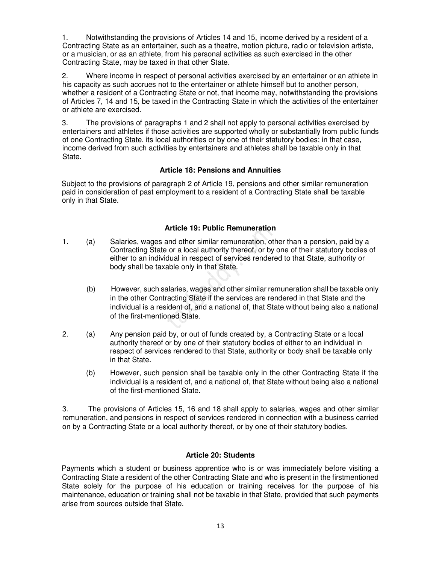1. Notwithstanding the provisions of Articles 14 and 15, income derived by a resident of a Contracting State as an entertainer, such as a theatre, motion picture, radio or television artiste, or a musician, or as an athlete, from his personal activities as such exercised in the other Contracting State, may be taxed in that other State.

2. Where income in respect of personal activities exercised by an entertainer or an athlete in his capacity as such accrues not to the entertainer or athlete himself but to another person, whether a resident of a Contracting State or not, that income may, notwithstanding the provisions of Articles 7, 14 and 15, be taxed in the Contracting State in which the activities of the entertainer or athlete are exercised.

3. The provisions of paragraphs 1 and 2 shall not apply to personal activities exercised by entertainers and athletes if those activities are supported wholly or substantially from public funds of one Contracting State, its local authorities or by one of their statutory bodies; in that case, income derived from such activities by entertainers and athletes shall be taxable only in that State.

### **Article 18: Pensions and Annuities**

Subject to the provisions of paragraph 2 of Article 19, pensions and other similar remuneration paid in consideration of past employment to a resident of a Contracting State shall be taxable only in that State.

### **Article 19: Public Remuneration**

- 1. (a) Salaries, wages and other similar remuneration, other than a pension, paid by a Contracting State or a local authority thereof, or by one of their statutory bodies of either to an individual in respect of services rendered to that State, authority or body shall be taxable only in that State.
	- (b) However, such salaries, wages and other similar remuneration shall be taxable only in the other Contracting State if the services are rendered in that State and the individual is a resident of, and a national of, that State without being also a national of the first-mentioned State.
- 2. (a) Any pension paid by, or out of funds created by, a Contracting State or a local authority thereof or by one of their statutory bodies of either to an individual in respect of services rendered to that State, authority or body shall be taxable only in that State.
	- (b) However, such pension shall be taxable only in the other Contracting State if the individual is a resident of, and a national of, that State without being also a national of the first-mentioned State.

3. The provisions of Articles 15, 16 and 18 shall apply to salaries, wages and other similar remuneration, and pensions in respect of services rendered in connection with a business carried on by a Contracting State or a local authority thereof, or by one of their statutory bodies.

#### **Article 20: Students**

Payments which a student or business apprentice who is or was immediately before visiting a Contracting State a resident of the other Contracting State and who is present in the firstmentioned State solely for the purpose of his education or training receives for the purpose of his maintenance, education or training shall not be taxable in that State, provided that such payments arise from sources outside that State.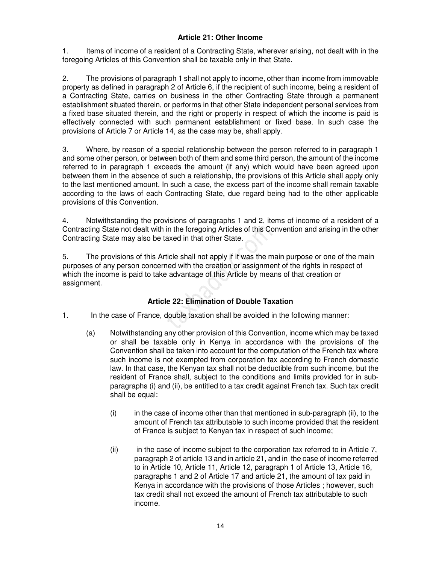## **Article 21: Other Income**

1. Items of income of a resident of a Contracting State, wherever arising, not dealt with in the foregoing Articles of this Convention shall be taxable only in that State.

2. The provisions of paragraph 1 shall not apply to income, other than income from immovable property as defined in paragraph 2 of Article 6, if the recipient of such income, being a resident of a Contracting State, carries on business in the other Contracting State through a permanent establishment situated therein, or performs in that other State independent personal services from a fixed base situated therein, and the right or property in respect of which the income is paid is effectively connected with such permanent establishment or fixed base. In such case the provisions of Article 7 or Article 14, as the case may be, shall apply.

3. Where, by reason of a special relationship between the person referred to in paragraph 1 and some other person, or between both of them and some third person, the amount of the income referred to in paragraph 1 exceeds the amount (if any) which would have been agreed upon between them in the absence of such a relationship, the provisions of this Article shall apply only to the last mentioned amount. In such a case, the excess part of the income shall remain taxable according to the laws of each Contracting State, due regard being had to the other applicable provisions of this Convention.

4. Notwithstanding the provisions of paragraphs 1 and 2, items of income of a resident of a Contracting State not dealt with in the foregoing Articles of this Convention and arising in the other Contracting State may also be taxed in that other State.

5. The provisions of this Article shall not apply if it was the main purpose or one of the main purposes of any person concerned with the creation or assignment of the rights in respect of which the income is paid to take advantage of this Article by means of that creation or assignment.

## **Article 22: Elimination of Double Taxation**

- 1. In the case of France, double taxation shall be avoided in the following manner:
	- (a) Notwithstanding any other provision of this Convention, income which may be taxed or shall be taxable only in Kenya in accordance with the provisions of the Convention shall be taken into account for the computation of the French tax where such income is not exempted from corporation tax according to French domestic law. In that case, the Kenyan tax shall not be deductible from such income, but the resident of France shall, subject to the conditions and limits provided for in subparagraphs (i) and (ii), be entitled to a tax credit against French tax. Such tax credit shall be equal:
		- $(i)$  in the case of income other than that mentioned in sub-paragraph  $(ii)$ , to the amount of French tax attributable to such income provided that the resident of France is subject to Kenyan tax in respect of such income;
		- $(i)$  in the case of income subject to the corporation tax referred to in Article 7, paragraph 2 of article 13 and in article 21, and in the case of income referred to in Article 10, Article 11, Article 12, paragraph 1 of Article 13, Article 16, paragraphs 1 and 2 of Article 17 and article 21, the amount of tax paid in Kenya in accordance with the provisions of those Articles ; however, such tax credit shall not exceed the amount of French tax attributable to such income.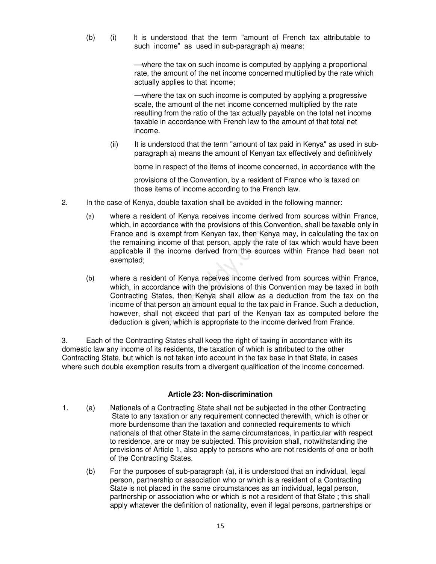(b) (i) It is understood that the term "amount of French tax attributable to such income" as used in sub-paragraph a) means:

> —where the tax on such income is computed by applying a proportional rate, the amount of the net income concerned multiplied by the rate which actually applies to that income;

—where the tax on such income is computed by applying a progressive scale, the amount of the net income concerned multiplied by the rate resulting from the ratio of the tax actually payable on the total net income taxable in accordance with French law to the amount of that total net income.

(ii) It is understood that the term "amount of tax paid in Kenya" as used in subparagraph a) means the amount of Kenyan tax effectively and definitively

borne in respect of the items of income concerned, in accordance with the

provisions of the Convention, by a resident of France who is taxed on those items of income according to the French law.

- 2. In the case of Kenya, double taxation shall be avoided in the following manner:
	- (a) where a resident of Kenya receives income derived from sources within France, which, in accordance with the provisions of this Convention, shall be taxable only in France and is exempt from Kenyan tax, then Kenya may, in calculating the tax on the remaining income of that person, apply the rate of tax which would have been applicable if the income derived from the sources within France had been not exempted;
	- (b) where a resident of Kenya receives income derived from sources within France, which, in accordance with the provisions of this Convention may be taxed in both Contracting States, then Kenya shall allow as a deduction from the tax on the income of that person an amount equal to the tax paid in France. Such a deduction, however, shall not exceed that part of the Kenyan tax as computed before the deduction is given, which is appropriate to the income derived from France.

3. Each of the Contracting States shall keep the right of taxing in accordance with its domestic law any income of its residents, the taxation of which is attributed to the other Contracting State, but which is not taken into account in the tax base in that State, in cases where such double exemption results from a divergent qualification of the income concerned.

#### **Article 23: Non-discrimination**

- 1. (a) Nationals of a Contracting State shall not be subjected in the other Contracting State to any taxation or any requirement connected therewith, which is other or more burdensome than the taxation and connected requirements to which nationals of that other State in the same circumstances, in particular with respect to residence, are or may be subjected. This provision shall, notwithstanding the provisions of Article 1, also apply to persons who are not residents of one or both of the Contracting States.
	- (b) For the purposes of sub-paragraph (a), it is understood that an individual, legal person, partnership or association who or which is a resident of a Contracting State is not placed in the same circumstances as an individual, legal person, partnership or association who or which is not a resident of that State ; this shall apply whatever the definition of nationality, even if legal persons, partnerships or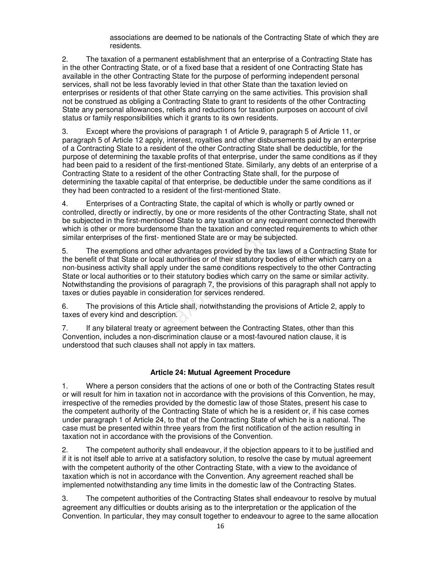associations are deemed to be nationals of the Contracting State of which they are residents.

2. The taxation of a permanent establishment that an enterprise of a Contracting State has in the other Contracting State, or of a fixed base that a resident of one Contracting State has available in the other Contracting State for the purpose of performing independent personal services, shall not be less favorably levied in that other State than the taxation levied on enterprises or residents of that other State carrying on the same activities. This provision shall not be construed as obliging a Contracting State to grant to residents of the other Contracting State any personal allowances, reliefs and reductions for taxation purposes on account of civil status or family responsibilities which it grants to its own residents.

3. Except where the provisions of paragraph 1 of Article 9, paragraph 5 of Article 11, or paragraph 5 of Article 12 apply, interest, royalties and other disbursements paid by an enterprise of a Contracting State to a resident of the other Contracting State shall be deductible, for the purpose of determining the taxable profits of that enterprise, under the same conditions as if they had been paid to a resident of the first-mentioned State. Similarly, any debts of an enterprise of a Contracting State to a resident of the other Contracting State shall, for the purpose of determining the taxable capital of that enterprise, be deductible under the same conditions as if they had been contracted to a resident of the first-mentioned State.

4. Enterprises of a Contracting State, the capital of which is wholly or partly owned or controlled, directly or indirectly, by one or more residents of the other Contracting State, shall not be subjected in the first-mentioned State to any taxation or any requirement connected therewith which is other or more burdensome than the taxation and connected requirements to which other similar enterprises of the first- mentioned State are or may be subjected.

5. The exemptions and other advantages provided by the tax laws of a Contracting State for the benefit of that State or local authorities or of their statutory bodies of either which carry on a non-business activity shall apply under the same conditions respectively to the other Contracting State or local authorities or to their statutory bodies which carry on the same or similar activity. Notwithstanding the provisions of paragraph 7, the provisions of this paragraph shall not apply to taxes or duties payable in consideration for services rendered.

6. The provisions of this Article shall, notwithstanding the provisions of Article 2, apply to taxes of every kind and description.

7. If any bilateral treaty or agreement between the Contracting States, other than this Convention, includes a non-discrimination clause or a most-favoured nation clause, it is understood that such clauses shall not apply in tax matters.

## **Article 24: Mutual Agreement Procedure**

1. Where a person considers that the actions of one or both of the Contracting States result or will result for him in taxation not in accordance with the provisions of this Convention, he may, irrespective of the remedies provided by the domestic law of those States, present his case to the competent authority of the Contracting State of which he is a resident or, if his case comes under paragraph 1 of Article 24, to that of the Contracting State of which he is a national. The case must be presented within three years from the first notification of the action resulting in taxation not in accordance with the provisions of the Convention.

2. The competent authority shall endeavour, if the objection appears to it to be justified and if it is not itself able to arrive at a satisfactory solution, to resolve the case by mutual agreement with the competent authority of the other Contracting State, with a view to the avoidance of taxation which is not in accordance with the Convention. Any agreement reached shall be implemented notwithstanding any time limits in the domestic law of the Contracting States.

3. The competent authorities of the Contracting States shall endeavour to resolve by mutual agreement any difficulties or doubts arising as to the interpretation or the application of the Convention. In particular, they may consult together to endeavour to agree to the same allocation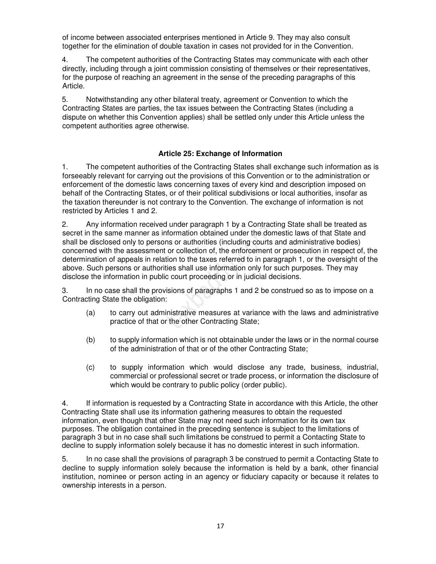of income between associated enterprises mentioned in Article 9. They may also consult together for the elimination of double taxation in cases not provided for in the Convention.

4. The competent authorities of the Contracting States may communicate with each other directly, including through a joint commission consisting of themselves or their representatives, for the purpose of reaching an agreement in the sense of the preceding paragraphs of this Article.

5. Notwithstanding any other bilateral treaty, agreement or Convention to which the Contracting States are parties, the tax issues between the Contracting States (including a dispute on whether this Convention applies) shall be settled only under this Article unless the competent authorities agree otherwise.

### **Article 25: Exchange of Information**

1. The competent authorities of the Contracting States shall exchange such information as is forseeably relevant for carrying out the provisions of this Convention or to the administration or enforcement of the domestic laws concerning taxes of every kind and description imposed on behalf of the Contracting States, or of their political subdivisions or local authorities, insofar as the taxation thereunder is not contrary to the Convention. The exchange of information is not restricted by Articles 1 and 2.

2. Any information received under paragraph 1 by a Contracting State shall be treated as secret in the same manner as information obtained under the domestic laws of that State and shall be disclosed only to persons or authorities (including courts and administrative bodies) concerned with the assessment or collection of, the enforcement or prosecution in respect of, the determination of appeals in relation to the taxes referred to in paragraph 1, or the oversight of the above. Such persons or authorities shall use information only for such purposes. They may disclose the information in public court proceeding or in judicial decisions.

3. In no case shall the provisions of paragraphs 1 and 2 be construed so as to impose on a Contracting State the obligation:

- (a) to carry out administrative measures at variance with the laws and administrative practice of that or the other Contracting State;
- (b) to supply information which is not obtainable under the laws or in the normal course of the administration of that or of the other Contracting State;
- (c) to supply information which would disclose any trade, business, industrial, commercial or professional secret or trade process, or information the disclosure of which would be contrary to public policy (order public).

4. If information is requested by a Contracting State in accordance with this Article, the other Contracting State shall use its information gathering measures to obtain the requested information, even though that other State may not need such information for its own tax purposes. The obligation contained in the preceding sentence is subject to the limitations of paragraph 3 but in no case shall such limitations be construed to permit a Contacting State to decline to supply information solely because it has no domestic interest in such information.

5. In no case shall the provisions of paragraph 3 be construed to permit a Contacting State to decline to supply information solely because the information is held by a bank, other financial institution, nominee or person acting in an agency or fiduciary capacity or because it relates to ownership interests in a person.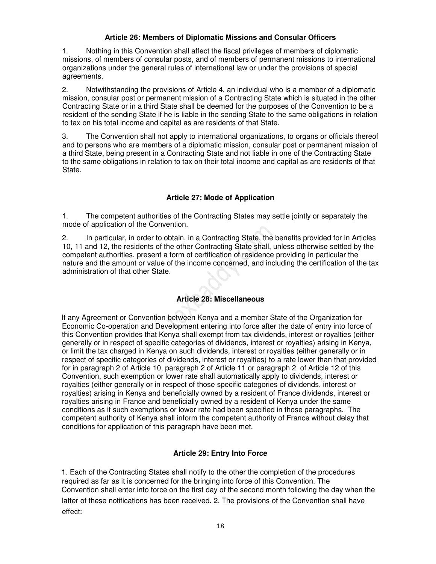### **Article 26: Members of Diplomatic Missions and Consular Officers**

1. Nothing in this Convention shall affect the fiscal privileges of members of diplomatic missions, of members of consular posts, and of members of permanent missions to international organizations under the general rules of international law or under the provisions of special agreements.

2. Notwithstanding the provisions of Article 4, an individual who is a member of a diplomatic mission, consular post or permanent mission of a Contracting State which is situated in the other Contracting State or in a third State shall be deemed for the purposes of the Convention to be a resident of the sending State if he is liable in the sending State to the same obligations in relation to tax on his total income and capital as are residents of that State.

3. The Convention shall not apply to international organizations, to organs or officials thereof and to persons who are members of a diplomatic mission, consular post or permanent mission of a third State, being present in a Contracting State and not liable in one of the Contracting State to the same obligations in relation to tax on their total income and capital as are residents of that State.

## **Article 27: Mode of Application**

1. The competent authorities of the Contracting States may settle jointly or separately the mode of application of the Convention.

2. In particular, in order to obtain, in a Contracting State, the benefits provided for in Articles 10, 11 and 12, the residents of the other Contracting State shall, unless otherwise settled by the competent authorities, present a form of certification of residence providing in particular the nature and the amount or value of the income concerned, and including the certification of the tax administration of that other State.

## **Article 28: Miscellaneous**

If any Agreement or Convention between Kenya and a member State of the Organization for Economic Co-operation and Development entering into force after the date of entry into force of this Convention provides that Kenya shall exempt from tax dividends, interest or royalties (either generally or in respect of specific categories of dividends, interest or royalties) arising in Kenya, or limit the tax charged in Kenya on such dividends, interest or royalties (either generally or in respect of specific categories of dividends, interest or royalties) to a rate lower than that provided for in paragraph 2 of Article 10, paragraph 2 of Article 11 or paragraph 2 of Article 12 of this Convention, such exemption or lower rate shall automatically apply to dividends, interest or royalties (either generally or in respect of those specific categories of dividends, interest or royalties) arising in Kenya and beneficially owned by a resident of France dividends, interest or royalties arising in France and beneficially owned by a resident of Kenya under the same conditions as if such exemptions or lower rate had been specified in those paragraphs. The competent authority of Kenya shall inform the competent authority of France without delay that conditions for application of this paragraph have been met.

#### **Article 29: Entry Into Force**

1. Each of the Contracting States shall notify to the other the completion of the procedures required as far as it is concerned for the bringing into force of this Convention. The Convention shall enter into force on the first day of the second month following the day when the latter of these notifications has been received. 2. The provisions of the Convention shall have effect: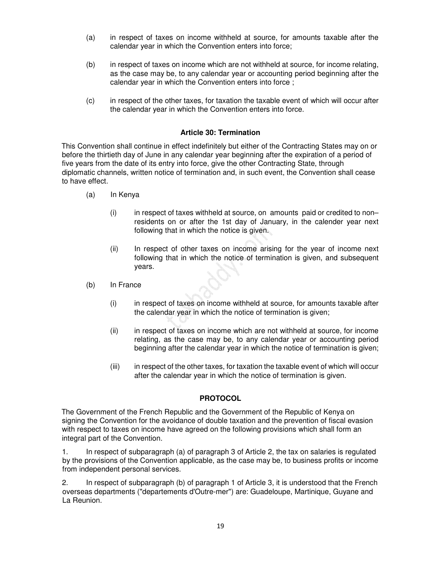- (a) in respect of taxes on income withheld at source, for amounts taxable after the calendar year in which the Convention enters into force;
- (b) in respect of taxes on income which are not withheld at source, for income relating, as the case may be, to any calendar year or accounting period beginning after the calendar year in which the Convention enters into force ;
- (c) in respect of the other taxes, for taxation the taxable event of which will occur after the calendar year in which the Convention enters into force.

#### **Article 30: Termination**

This Convention shall continue in effect indefinitely but either of the Contracting States may on or before the thirtieth day of June in any calendar year beginning after the expiration of a period of five years from the date of its entry into force, give the other Contracting State, through diplomatic channels, written notice of termination and, in such event, the Convention shall cease to have effect.

- (a) In Kenya
	- (i) in respect of taxes withheld at source, on amounts paid or credited to non– residents on or after the 1st day of January, in the calender year next following that in which the notice is given.
	- (ii) In respect of other taxes on income arising for the year of income next following that in which the notice of termination is given, and subsequent years.
- (b) In France
	- (i) in respect of taxes on income withheld at source, for amounts taxable after the calendar year in which the notice of termination is given;
	- (ii) in respect of taxes on income which are not withheld at source, for income relating, as the case may be, to any calendar year or accounting period beginning after the calendar year in which the notice of termination is given;
	- (iii) in respect of the other taxes, for taxation the taxable event of which will occur after the calendar year in which the notice of termination is given.

#### **PROTOCOL**

The Government of the French Republic and the Government of the Republic of Kenya on signing the Convention for the avoidance of double taxation and the prevention of fiscal evasion with respect to taxes on income have agreed on the following provisions which shall form an integral part of the Convention.

1. In respect of subparagraph (a) of paragraph 3 of Article 2, the tax on salaries is regulated by the provisions of the Convention applicable, as the case may be, to business profits or income from independent personal services.

2. In respect of subparagraph (b) of paragraph 1 of Article 3, it is understood that the French overseas departments ("departements d'Outre-mer") are: Guadeloupe, Martinique, Guyane and La Reunion.